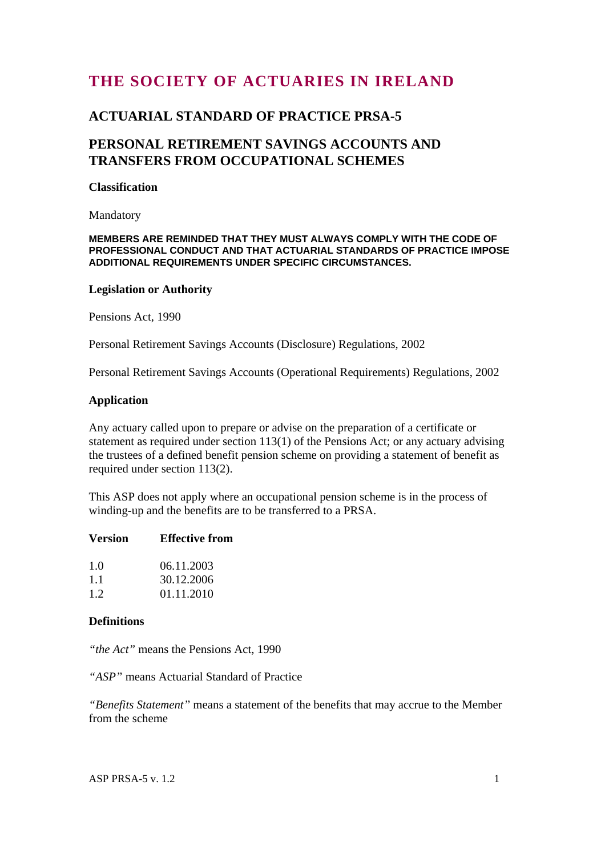# **THE SOCIETY OF ACTUARIES IN IRELAND**

### **ACTUARIAL STANDARD OF PRACTICE PRSA-5**

## **PERSONAL RETIREMENT SAVINGS ACCOUNTS AND TRANSFERS FROM OCCUPATIONAL SCHEMES**

### **Classification**

Mandatory

#### **MEMBERS ARE REMINDED THAT THEY MUST ALWAYS COMPLY WITH THE CODE OF PROFESSIONAL CONDUCT AND THAT ACTUARIAL STANDARDS OF PRACTICE IMPOSE ADDITIONAL REQUIREMENTS UNDER SPECIFIC CIRCUMSTANCES.**

#### **Legislation or Authority**

Pensions Act, 1990

Personal Retirement Savings Accounts (Disclosure) Regulations, 2002

Personal Retirement Savings Accounts (Operational Requirements) Regulations, 2002

#### **Application**

Any actuary called upon to prepare or advise on the preparation of a certificate or statement as required under section 113(1) of the Pensions Act; or any actuary advising the trustees of a defined benefit pension scheme on providing a statement of benefit as required under section 113(2).

This ASP does not apply where an occupational pension scheme is in the process of winding-up and the benefits are to be transferred to a PRSA.

### **Version Effective from**

| 1.0 | 06.11.2003 |
|-----|------------|
| 1.1 | 30.12.2006 |
| 1.2 | 01.11.2010 |

### **Definitions**

*"the Act"* means the Pensions Act, 1990

*"ASP"* means Actuarial Standard of Practice

*"Benefits Statement"* means a statement of the benefits that may accrue to the Member from the scheme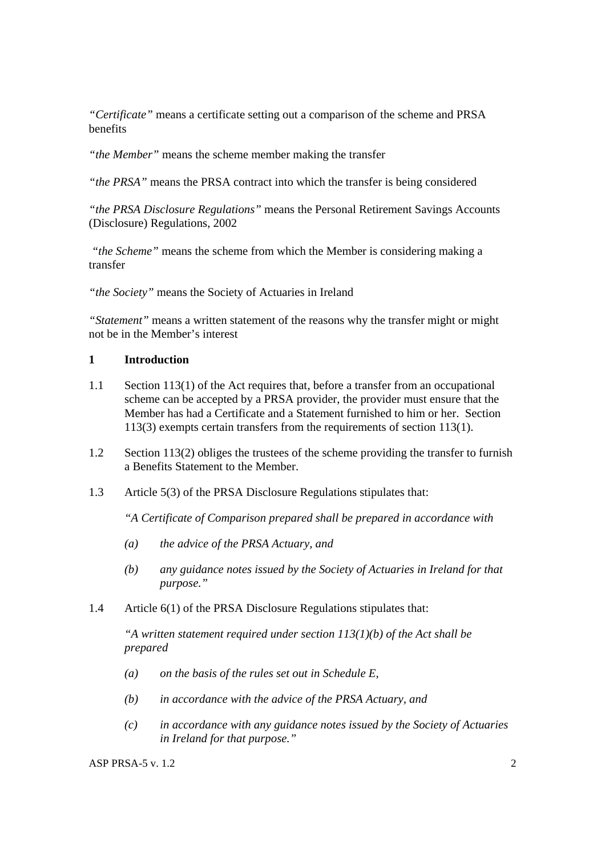*"Certificate"* means a certificate setting out a comparison of the scheme and PRSA benefits

*"the Member"* means the scheme member making the transfer

*"the PRSA"* means the PRSA contract into which the transfer is being considered

*"the PRSA Disclosure Regulations"* means the Personal Retirement Savings Accounts (Disclosure) Regulations, 2002

 *"the Scheme"* means the scheme from which the Member is considering making a transfer

*"the Society"* means the Society of Actuaries in Ireland

*"Statement"* means a written statement of the reasons why the transfer might or might not be in the Member's interest

### **1 Introduction**

- 1.1 Section 113(1) of the Act requires that, before a transfer from an occupational scheme can be accepted by a PRSA provider, the provider must ensure that the Member has had a Certificate and a Statement furnished to him or her. Section 113(3) exempts certain transfers from the requirements of section 113(1).
- 1.2 Section 113(2) obliges the trustees of the scheme providing the transfer to furnish a Benefits Statement to the Member.
- 1.3 Article 5(3) of the PRSA Disclosure Regulations stipulates that:

 *"A Certificate of Comparison prepared shall be prepared in accordance with* 

- *(a) the advice of the PRSA Actuary, and*
- *(b) any guidance notes issued by the Society of Actuaries in Ireland for that purpose."*
- 1.4 Article 6(1) of the PRSA Disclosure Regulations stipulates that:

 *"A written statement required under section 113(1)(b) of the Act shall be prepared* 

- *(a) on the basis of the rules set out in Schedule E,*
- *(b) in accordance with the advice of the PRSA Actuary, and*
- *(c) in accordance with any guidance notes issued by the Society of Actuaries in Ireland for that purpose."*

ASP PRSA-5 v. 1.2  $\sim$  2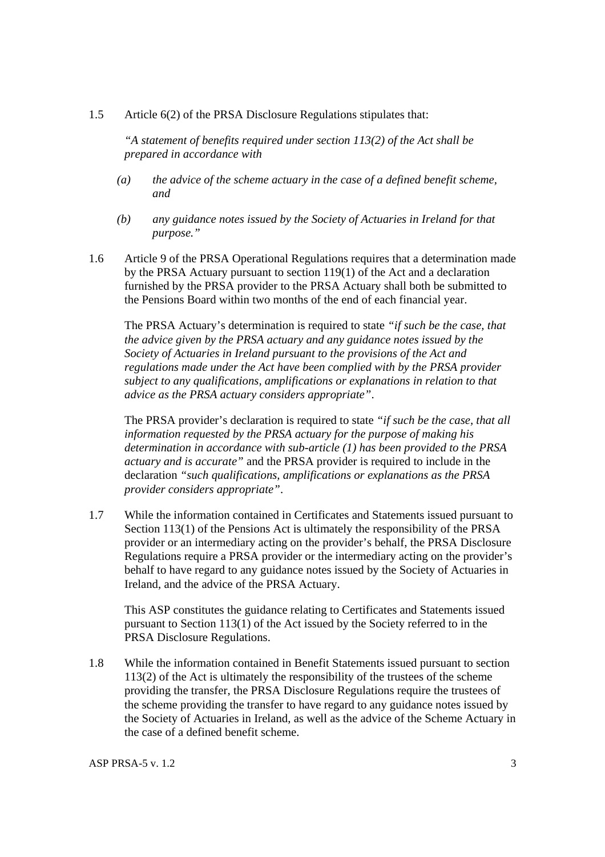#### 1.5 Article 6(2) of the PRSA Disclosure Regulations stipulates that:

 *"A statement of benefits required under section 113(2) of the Act shall be prepared in accordance with* 

- *(a) the advice of the scheme actuary in the case of a defined benefit scheme, and*
- *(b) any guidance notes issued by the Society of Actuaries in Ireland for that purpose."*
- 1.6 Article 9 of the PRSA Operational Regulations requires that a determination made by the PRSA Actuary pursuant to section 119(1) of the Act and a declaration furnished by the PRSA provider to the PRSA Actuary shall both be submitted to the Pensions Board within two months of the end of each financial year.

 The PRSA Actuary's determination is required to state *"if such be the case, that the advice given by the PRSA actuary and any guidance notes issued by the Society of Actuaries in Ireland pursuant to the provisions of the Act and regulations made under the Act have been complied with by the PRSA provider subject to any qualifications, amplifications or explanations in relation to that advice as the PRSA actuary considers appropriate"*.

 The PRSA provider's declaration is required to state *"if such be the case, that all information requested by the PRSA actuary for the purpose of making his determination in accordance with sub-article (1) has been provided to the PRSA actuary and is accurate"* and the PRSA provider is required to include in the declaration *"such qualifications, amplifications or explanations as the PRSA provider considers appropriate"*.

1.7 While the information contained in Certificates and Statements issued pursuant to Section 113(1) of the Pensions Act is ultimately the responsibility of the PRSA provider or an intermediary acting on the provider's behalf, the PRSA Disclosure Regulations require a PRSA provider or the intermediary acting on the provider's behalf to have regard to any guidance notes issued by the Society of Actuaries in Ireland, and the advice of the PRSA Actuary.

 This ASP constitutes the guidance relating to Certificates and Statements issued pursuant to Section 113(1) of the Act issued by the Society referred to in the PRSA Disclosure Regulations.

1.8 While the information contained in Benefit Statements issued pursuant to section 113(2) of the Act is ultimately the responsibility of the trustees of the scheme providing the transfer, the PRSA Disclosure Regulations require the trustees of the scheme providing the transfer to have regard to any guidance notes issued by the Society of Actuaries in Ireland, as well as the advice of the Scheme Actuary in the case of a defined benefit scheme.

ASP PRSA-5 v. 1.2  $\frac{3}{3}$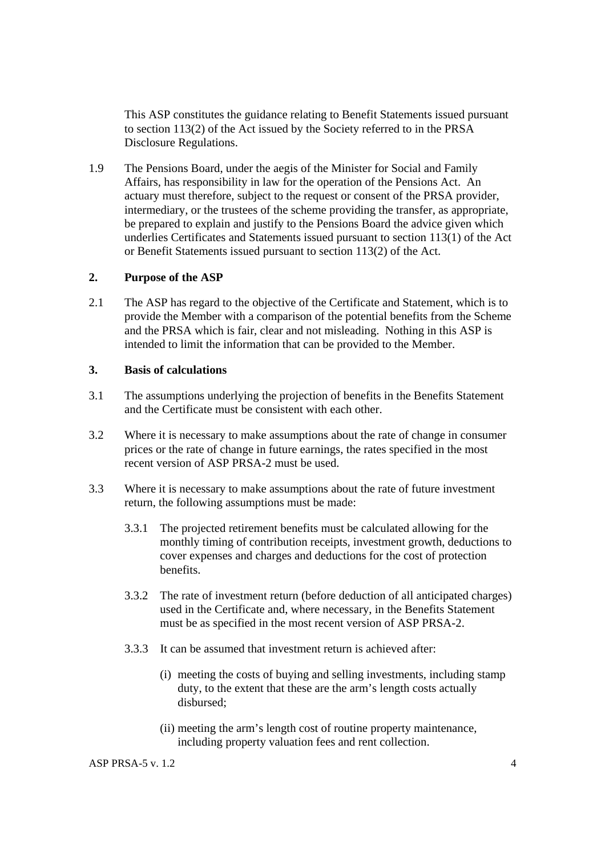This ASP constitutes the guidance relating to Benefit Statements issued pursuant to section 113(2) of the Act issued by the Society referred to in the PRSA Disclosure Regulations.

1.9 The Pensions Board, under the aegis of the Minister for Social and Family Affairs, has responsibility in law for the operation of the Pensions Act. An actuary must therefore, subject to the request or consent of the PRSA provider, intermediary, or the trustees of the scheme providing the transfer, as appropriate, be prepared to explain and justify to the Pensions Board the advice given which underlies Certificates and Statements issued pursuant to section 113(1) of the Act or Benefit Statements issued pursuant to section 113(2) of the Act.

### **2. Purpose of the ASP**

2.1 The ASP has regard to the objective of the Certificate and Statement, which is to provide the Member with a comparison of the potential benefits from the Scheme and the PRSA which is fair, clear and not misleading. Nothing in this ASP is intended to limit the information that can be provided to the Member.

### **3. Basis of calculations**

- 3.1 The assumptions underlying the projection of benefits in the Benefits Statement and the Certificate must be consistent with each other.
- 3.2 Where it is necessary to make assumptions about the rate of change in consumer prices or the rate of change in future earnings, the rates specified in the most recent version of ASP PRSA-2 must be used.
- 3.3 Where it is necessary to make assumptions about the rate of future investment return, the following assumptions must be made:
	- 3.3.1 The projected retirement benefits must be calculated allowing for the monthly timing of contribution receipts, investment growth, deductions to cover expenses and charges and deductions for the cost of protection benefits.
	- 3.3.2 The rate of investment return (before deduction of all anticipated charges) used in the Certificate and, where necessary, in the Benefits Statement must be as specified in the most recent version of ASP PRSA-2.
	- 3.3.3 It can be assumed that investment return is achieved after:
		- (i) meeting the costs of buying and selling investments, including stamp duty, to the extent that these are the arm's length costs actually disbursed;
		- (ii) meeting the arm's length cost of routine property maintenance, including property valuation fees and rent collection.

ASP PRSA-5 v. 1.2  $\leq$  4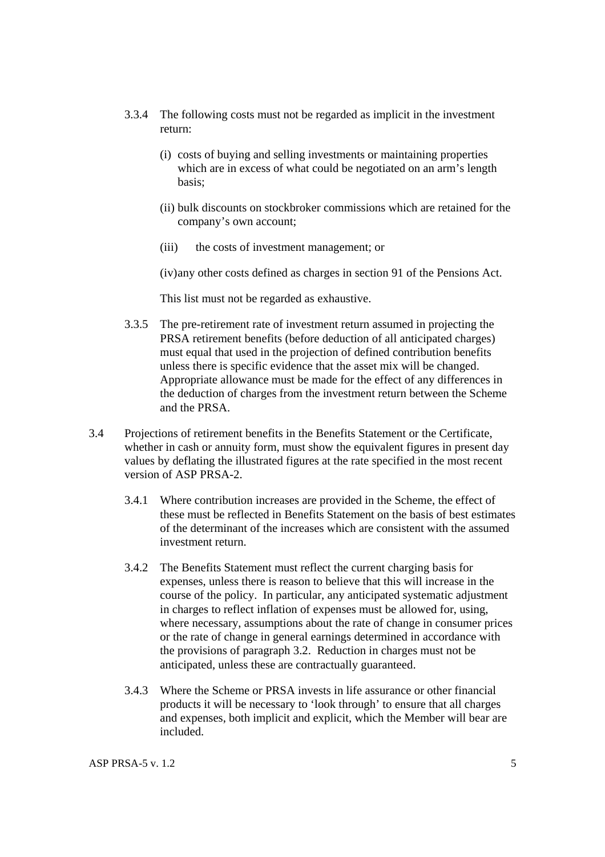- 3.3.4 The following costs must not be regarded as implicit in the investment return:
	- (i) costs of buying and selling investments or maintaining properties which are in excess of what could be negotiated on an arm's length basis;
	- (ii) bulk discounts on stockbroker commissions which are retained for the company's own account;
	- (iii) the costs of investment management; or
	- (iv)any other costs defined as charges in section 91 of the Pensions Act.

This list must not be regarded as exhaustive.

- 3.3.5 The pre-retirement rate of investment return assumed in projecting the PRSA retirement benefits (before deduction of all anticipated charges) must equal that used in the projection of defined contribution benefits unless there is specific evidence that the asset mix will be changed. Appropriate allowance must be made for the effect of any differences in the deduction of charges from the investment return between the Scheme and the PRSA.
- 3.4 Projections of retirement benefits in the Benefits Statement or the Certificate, whether in cash or annuity form, must show the equivalent figures in present day values by deflating the illustrated figures at the rate specified in the most recent version of ASP PRSA-2.
	- 3.4.1 Where contribution increases are provided in the Scheme, the effect of these must be reflected in Benefits Statement on the basis of best estimates of the determinant of the increases which are consistent with the assumed investment return.
	- 3.4.2 The Benefits Statement must reflect the current charging basis for expenses, unless there is reason to believe that this will increase in the course of the policy. In particular, any anticipated systematic adjustment in charges to reflect inflation of expenses must be allowed for, using, where necessary, assumptions about the rate of change in consumer prices or the rate of change in general earnings determined in accordance with the provisions of paragraph 3.2. Reduction in charges must not be anticipated, unless these are contractually guaranteed.
	- 3.4.3 Where the Scheme or PRSA invests in life assurance or other financial products it will be necessary to 'look through' to ensure that all charges and expenses, both implicit and explicit, which the Member will bear are included.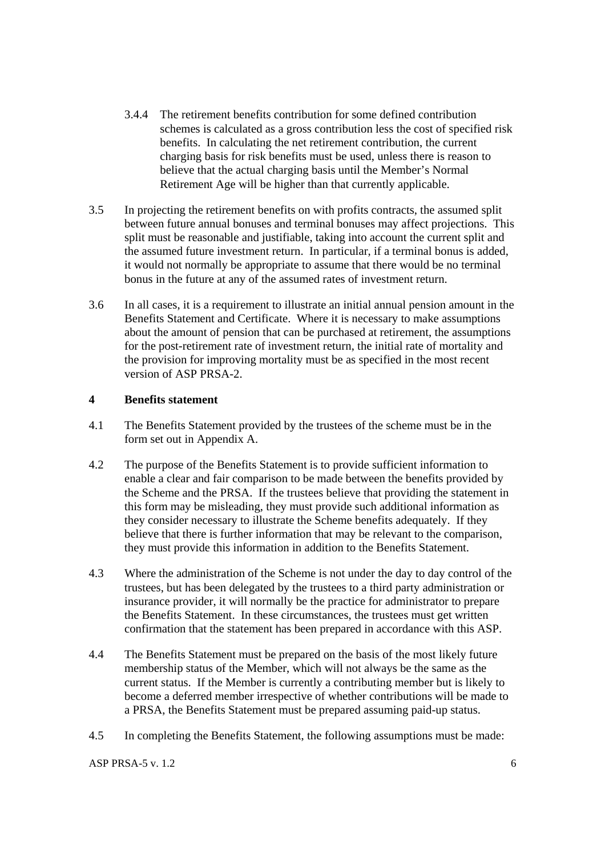- 3.4.4 The retirement benefits contribution for some defined contribution schemes is calculated as a gross contribution less the cost of specified risk benefits. In calculating the net retirement contribution, the current charging basis for risk benefits must be used, unless there is reason to believe that the actual charging basis until the Member's Normal Retirement Age will be higher than that currently applicable.
- 3.5 In projecting the retirement benefits on with profits contracts, the assumed split between future annual bonuses and terminal bonuses may affect projections. This split must be reasonable and justifiable, taking into account the current split and the assumed future investment return. In particular, if a terminal bonus is added, it would not normally be appropriate to assume that there would be no terminal bonus in the future at any of the assumed rates of investment return.
- 3.6 In all cases, it is a requirement to illustrate an initial annual pension amount in the Benefits Statement and Certificate. Where it is necessary to make assumptions about the amount of pension that can be purchased at retirement, the assumptions for the post-retirement rate of investment return, the initial rate of mortality and the provision for improving mortality must be as specified in the most recent version of ASP PRSA-2.

### **4 Benefits statement**

- 4.1 The Benefits Statement provided by the trustees of the scheme must be in the form set out in Appendix A.
- 4.2 The purpose of the Benefits Statement is to provide sufficient information to enable a clear and fair comparison to be made between the benefits provided by the Scheme and the PRSA. If the trustees believe that providing the statement in this form may be misleading, they must provide such additional information as they consider necessary to illustrate the Scheme benefits adequately. If they believe that there is further information that may be relevant to the comparison, they must provide this information in addition to the Benefits Statement.
- 4.3 Where the administration of the Scheme is not under the day to day control of the trustees, but has been delegated by the trustees to a third party administration or insurance provider, it will normally be the practice for administrator to prepare the Benefits Statement. In these circumstances, the trustees must get written confirmation that the statement has been prepared in accordance with this ASP.
- 4.4 The Benefits Statement must be prepared on the basis of the most likely future membership status of the Member, which will not always be the same as the current status. If the Member is currently a contributing member but is likely to become a deferred member irrespective of whether contributions will be made to a PRSA, the Benefits Statement must be prepared assuming paid-up status.
- 4.5 In completing the Benefits Statement, the following assumptions must be made: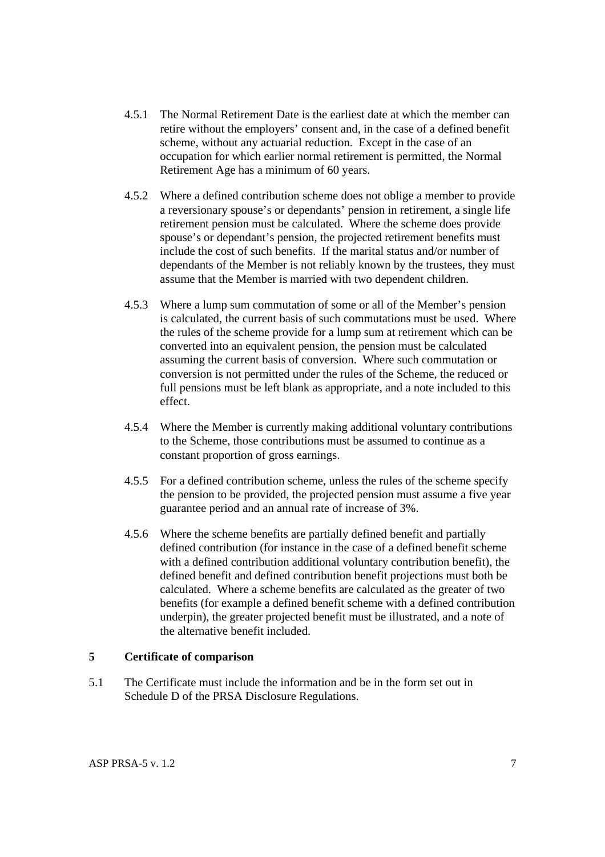- 4.5.1 The Normal Retirement Date is the earliest date at which the member can retire without the employers' consent and, in the case of a defined benefit scheme, without any actuarial reduction. Except in the case of an occupation for which earlier normal retirement is permitted, the Normal Retirement Age has a minimum of 60 years.
- 4.5.2 Where a defined contribution scheme does not oblige a member to provide a reversionary spouse's or dependants' pension in retirement, a single life retirement pension must be calculated. Where the scheme does provide spouse's or dependant's pension, the projected retirement benefits must include the cost of such benefits. If the marital status and/or number of dependants of the Member is not reliably known by the trustees, they must assume that the Member is married with two dependent children.
- 4.5.3 Where a lump sum commutation of some or all of the Member's pension is calculated, the current basis of such commutations must be used. Where the rules of the scheme provide for a lump sum at retirement which can be converted into an equivalent pension, the pension must be calculated assuming the current basis of conversion. Where such commutation or conversion is not permitted under the rules of the Scheme, the reduced or full pensions must be left blank as appropriate, and a note included to this effect.
- 4.5.4 Where the Member is currently making additional voluntary contributions to the Scheme, those contributions must be assumed to continue as a constant proportion of gross earnings.
- 4.5.5 For a defined contribution scheme, unless the rules of the scheme specify the pension to be provided, the projected pension must assume a five year guarantee period and an annual rate of increase of 3%.
- 4.5.6 Where the scheme benefits are partially defined benefit and partially defined contribution (for instance in the case of a defined benefit scheme with a defined contribution additional voluntary contribution benefit), the defined benefit and defined contribution benefit projections must both be calculated. Where a scheme benefits are calculated as the greater of two benefits (for example a defined benefit scheme with a defined contribution underpin), the greater projected benefit must be illustrated, and a note of the alternative benefit included.

### **5 Certificate of comparison**

5.1 The Certificate must include the information and be in the form set out in Schedule D of the PRSA Disclosure Regulations.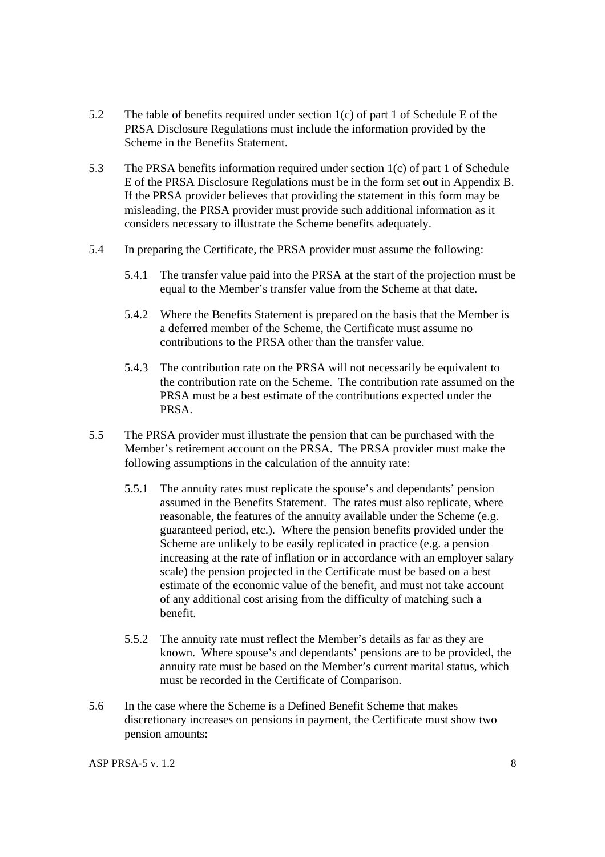- 5.2 The table of benefits required under section 1(c) of part 1 of Schedule E of the PRSA Disclosure Regulations must include the information provided by the Scheme in the Benefits Statement.
- 5.3 The PRSA benefits information required under section 1(c) of part 1 of Schedule E of the PRSA Disclosure Regulations must be in the form set out in Appendix B. If the PRSA provider believes that providing the statement in this form may be misleading, the PRSA provider must provide such additional information as it considers necessary to illustrate the Scheme benefits adequately.
- 5.4 In preparing the Certificate, the PRSA provider must assume the following:
	- 5.4.1 The transfer value paid into the PRSA at the start of the projection must be equal to the Member's transfer value from the Scheme at that date.
	- 5.4.2 Where the Benefits Statement is prepared on the basis that the Member is a deferred member of the Scheme, the Certificate must assume no contributions to the PRSA other than the transfer value.
	- 5.4.3 The contribution rate on the PRSA will not necessarily be equivalent to the contribution rate on the Scheme. The contribution rate assumed on the PRSA must be a best estimate of the contributions expected under the PRSA.
- 5.5 The PRSA provider must illustrate the pension that can be purchased with the Member's retirement account on the PRSA. The PRSA provider must make the following assumptions in the calculation of the annuity rate:
	- 5.5.1 The annuity rates must replicate the spouse's and dependants' pension assumed in the Benefits Statement. The rates must also replicate, where reasonable, the features of the annuity available under the Scheme (e.g. guaranteed period, etc.). Where the pension benefits provided under the Scheme are unlikely to be easily replicated in practice (e.g. a pension increasing at the rate of inflation or in accordance with an employer salary scale) the pension projected in the Certificate must be based on a best estimate of the economic value of the benefit, and must not take account of any additional cost arising from the difficulty of matching such a benefit.
	- 5.5.2 The annuity rate must reflect the Member's details as far as they are known. Where spouse's and dependants' pensions are to be provided, the annuity rate must be based on the Member's current marital status, which must be recorded in the Certificate of Comparison.
- 5.6 In the case where the Scheme is a Defined Benefit Scheme that makes discretionary increases on pensions in payment, the Certificate must show two pension amounts: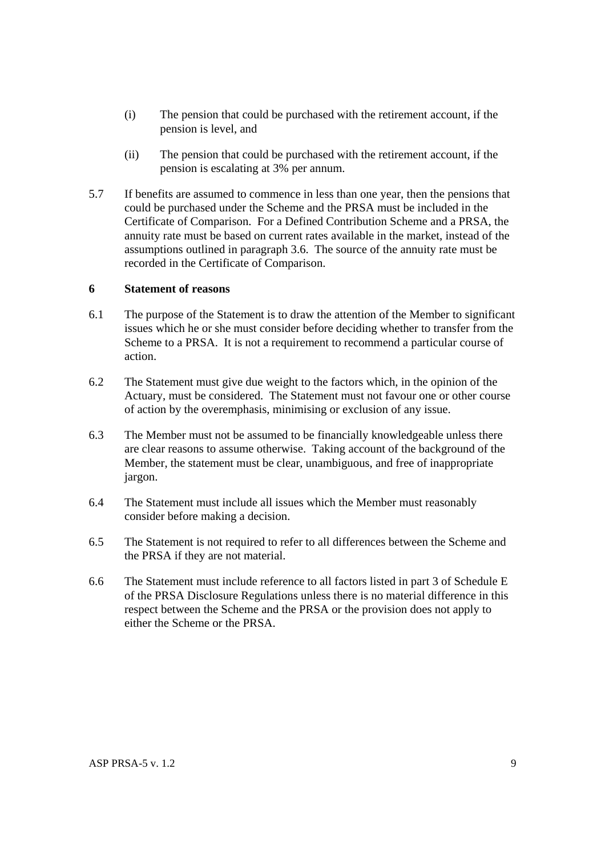- (i) The pension that could be purchased with the retirement account, if the pension is level, and
- (ii) The pension that could be purchased with the retirement account, if the pension is escalating at 3% per annum.
- 5.7 If benefits are assumed to commence in less than one year, then the pensions that could be purchased under the Scheme and the PRSA must be included in the Certificate of Comparison. For a Defined Contribution Scheme and a PRSA, the annuity rate must be based on current rates available in the market, instead of the assumptions outlined in paragraph 3.6. The source of the annuity rate must be recorded in the Certificate of Comparison.

### **6 Statement of reasons**

- 6.1 The purpose of the Statement is to draw the attention of the Member to significant issues which he or she must consider before deciding whether to transfer from the Scheme to a PRSA. It is not a requirement to recommend a particular course of action.
- 6.2 The Statement must give due weight to the factors which, in the opinion of the Actuary, must be considered. The Statement must not favour one or other course of action by the overemphasis, minimising or exclusion of any issue.
- 6.3 The Member must not be assumed to be financially knowledgeable unless there are clear reasons to assume otherwise. Taking account of the background of the Member, the statement must be clear, unambiguous, and free of inappropriate jargon.
- 6.4 The Statement must include all issues which the Member must reasonably consider before making a decision.
- 6.5 The Statement is not required to refer to all differences between the Scheme and the PRSA if they are not material.
- 6.6 The Statement must include reference to all factors listed in part 3 of Schedule E of the PRSA Disclosure Regulations unless there is no material difference in this respect between the Scheme and the PRSA or the provision does not apply to either the Scheme or the PRSA.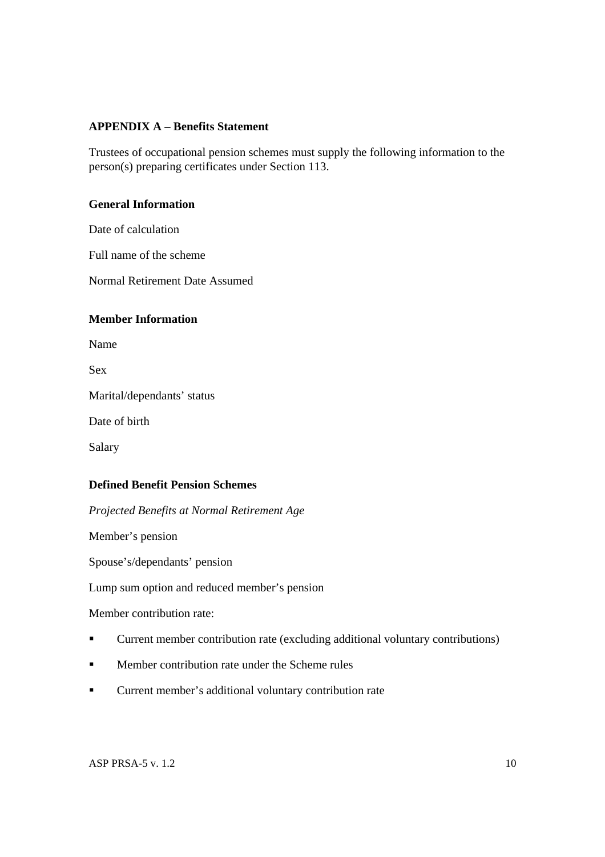### **APPENDIX A – Benefits Statement**

Trustees of occupational pension schemes must supply the following information to the person(s) preparing certificates under Section 113.

### **General Information**

Date of calculation

Full name of the scheme

Normal Retirement Date Assumed

### **Member Information**

Name

Sex

Marital/dependants' status

Date of birth

Salary

### **Defined Benefit Pension Schemes**

*Projected Benefits at Normal Retirement Age* 

Member's pension

Spouse's/dependants' pension

Lump sum option and reduced member's pension

Member contribution rate:

- Current member contribution rate (excluding additional voluntary contributions)
- **Member contribution rate under the Scheme rules**
- Current member's additional voluntary contribution rate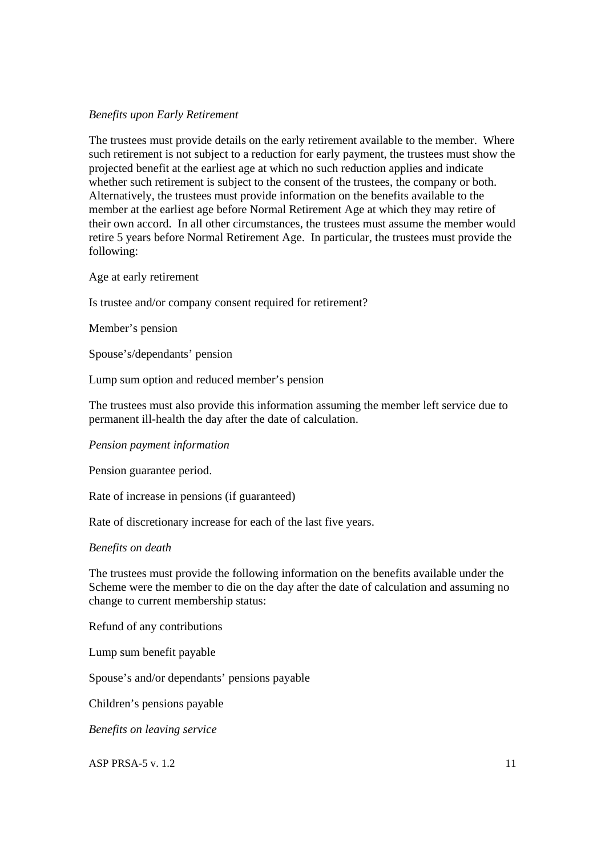### *Benefits upon Early Retirement*

The trustees must provide details on the early retirement available to the member. Where such retirement is not subject to a reduction for early payment, the trustees must show the projected benefit at the earliest age at which no such reduction applies and indicate whether such retirement is subject to the consent of the trustees, the company or both. Alternatively, the trustees must provide information on the benefits available to the member at the earliest age before Normal Retirement Age at which they may retire of their own accord. In all other circumstances, the trustees must assume the member would retire 5 years before Normal Retirement Age. In particular, the trustees must provide the following:

Age at early retirement

Is trustee and/or company consent required for retirement?

Member's pension

Spouse's/dependants' pension

Lump sum option and reduced member's pension

The trustees must also provide this information assuming the member left service due to permanent ill-health the day after the date of calculation.

*Pension payment information* 

Pension guarantee period.

Rate of increase in pensions (if guaranteed)

Rate of discretionary increase for each of the last five years.

### *Benefits on death*

The trustees must provide the following information on the benefits available under the Scheme were the member to die on the day after the date of calculation and assuming no change to current membership status:

Refund of any contributions

Lump sum benefit payable

Spouse's and/or dependants' pensions payable

Children's pensions payable

*Benefits on leaving service*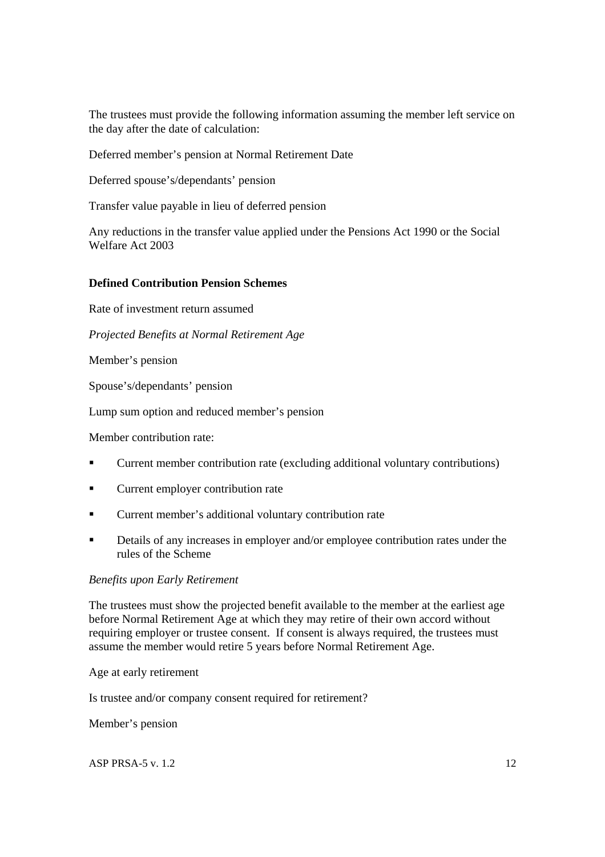The trustees must provide the following information assuming the member left service on the day after the date of calculation:

Deferred member's pension at Normal Retirement Date

Deferred spouse's/dependants' pension

Transfer value payable in lieu of deferred pension

Any reductions in the transfer value applied under the Pensions Act 1990 or the Social Welfare Act 2003

### **Defined Contribution Pension Schemes**

Rate of investment return assumed

*Projected Benefits at Normal Retirement Age* 

Member's pension

Spouse's/dependants' pension

Lump sum option and reduced member's pension

Member contribution rate:

- Current member contribution rate (excluding additional voluntary contributions)
- **Current employer contribution rate**
- **Current member's additional voluntary contribution rate**
- Details of any increases in employer and/or employee contribution rates under the rules of the Scheme

### *Benefits upon Early Retirement*

The trustees must show the projected benefit available to the member at the earliest age before Normal Retirement Age at which they may retire of their own accord without requiring employer or trustee consent. If consent is always required, the trustees must assume the member would retire 5 years before Normal Retirement Age.

Age at early retirement

Is trustee and/or company consent required for retirement?

Member's pension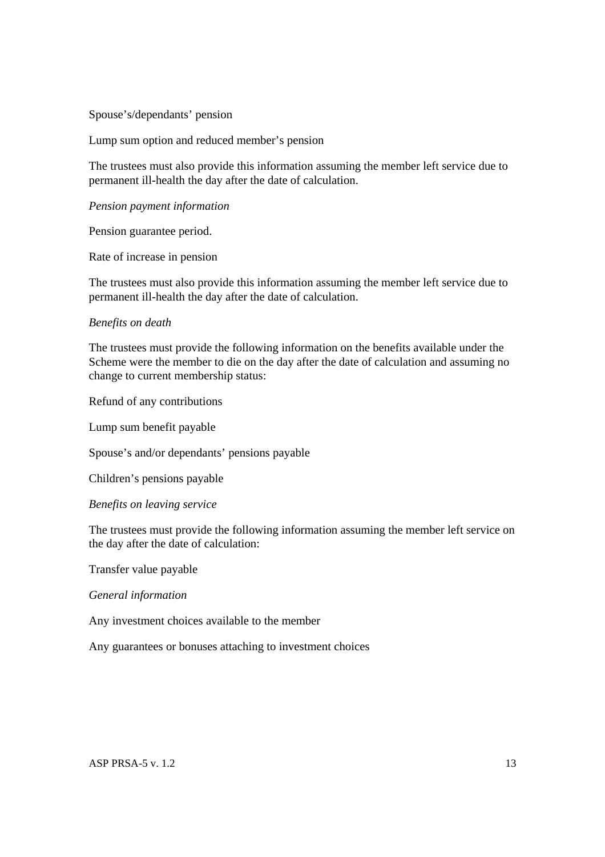### Spouse's/dependants' pension

Lump sum option and reduced member's pension

The trustees must also provide this information assuming the member left service due to permanent ill-health the day after the date of calculation.

#### *Pension payment information*

Pension guarantee period.

Rate of increase in pension

The trustees must also provide this information assuming the member left service due to permanent ill-health the day after the date of calculation.

#### *Benefits on death*

The trustees must provide the following information on the benefits available under the Scheme were the member to die on the day after the date of calculation and assuming no change to current membership status:

Refund of any contributions

Lump sum benefit payable

Spouse's and/or dependants' pensions payable

Children's pensions payable

#### *Benefits on leaving service*

The trustees must provide the following information assuming the member left service on the day after the date of calculation:

Transfer value payable

*General information* 

Any investment choices available to the member

Any guarantees or bonuses attaching to investment choices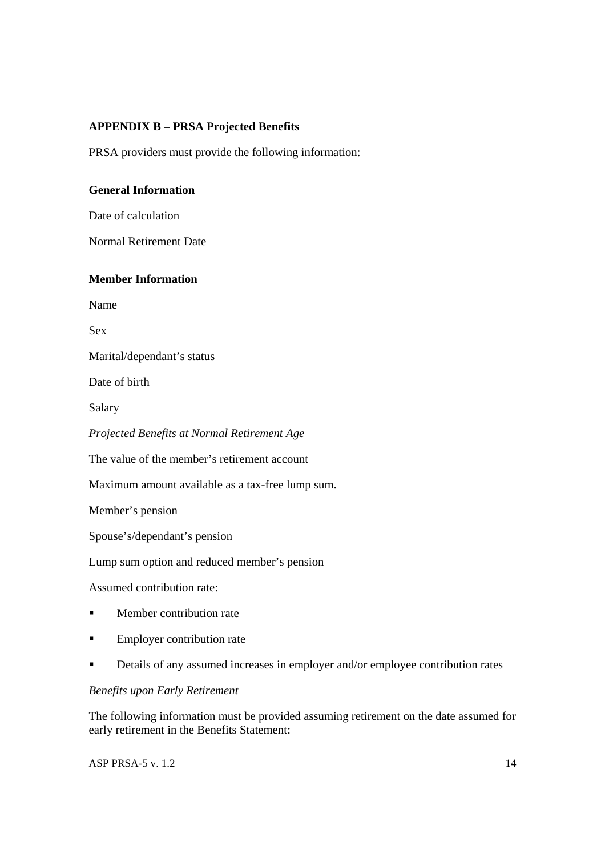### **APPENDIX B – PRSA Projected Benefits**

PRSA providers must provide the following information:

### **General Information**

Date of calculation

Normal Retirement Date

### **Member Information**

Name

Sex

Marital/dependant's status

Date of birth

Salary

*Projected Benefits at Normal Retirement Age* 

The value of the member's retirement account

Maximum amount available as a tax-free lump sum.

Member's pension

Spouse's/dependant's pension

Lump sum option and reduced member's pension

Assumed contribution rate:

- **Member contribution rate**
- **Employer contribution rate**
- Details of any assumed increases in employer and/or employee contribution rates

### *Benefits upon Early Retirement*

The following information must be provided assuming retirement on the date assumed for early retirement in the Benefits Statement: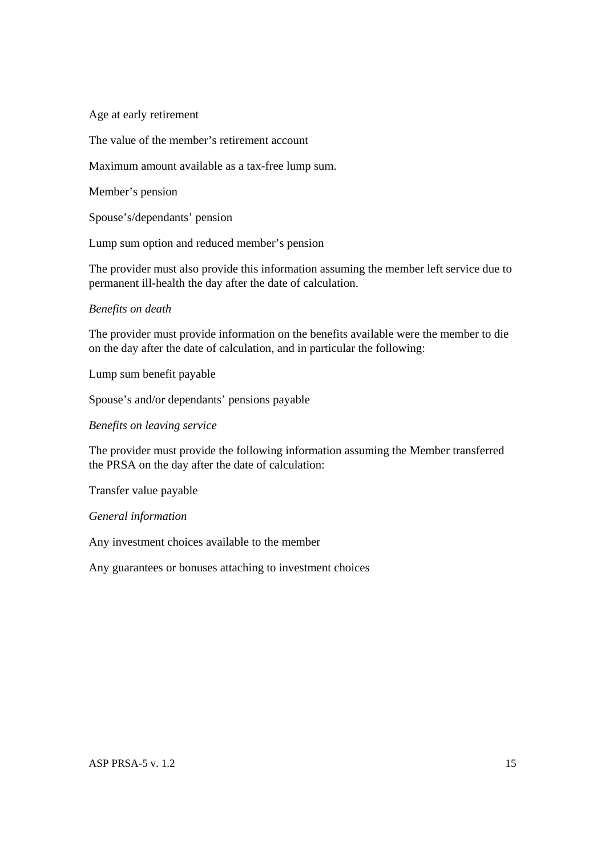Age at early retirement

The value of the member's retirement account

Maximum amount available as a tax-free lump sum.

Member's pension

Spouse's/dependants' pension

Lump sum option and reduced member's pension

The provider must also provide this information assuming the member left service due to permanent ill-health the day after the date of calculation.

#### *Benefits on death*

The provider must provide information on the benefits available were the member to die on the day after the date of calculation, and in particular the following:

Lump sum benefit payable

Spouse's and/or dependants' pensions payable

*Benefits on leaving service* 

The provider must provide the following information assuming the Member transferred the PRSA on the day after the date of calculation:

Transfer value payable

*General information* 

Any investment choices available to the member

Any guarantees or bonuses attaching to investment choices